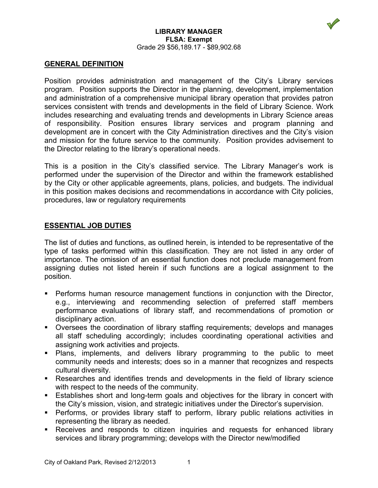

#### **LIBRARY MANAGER FLSA: Exempt** Grade 29 \$56,189.17 - \$89,902.68

## **GENERAL DEFINITION**

Position provides administration and management of the City's Library services program. Position supports the Director in the planning, development, implementation and administration of a comprehensive municipal library operation that provides patron services consistent with trends and developments in the field of Library Science. Work includes researching and evaluating trends and developments in Library Science areas of responsibility. Position ensures library services and program planning and development are in concert with the City Administration directives and the City's vision and mission for the future service to the community. Position provides advisement to the Director relating to the library's operational needs.

This is a position in the City's classified service. The Library Manager's work is performed under the supervision of the Director and within the framework established by the City or other applicable agreements, plans, policies, and budgets. The individual in this position makes decisions and recommendations in accordance with City policies, procedures, law or regulatory requirements

## **ESSENTIAL JOB DUTIES**

The list of duties and functions, as outlined herein, is intended to be representative of the type of tasks performed within this classification. They are not listed in any order of importance. The omission of an essential function does not preclude management from assigning duties not listed herein if such functions are a logical assignment to the position.

- Performs human resource management functions in conjunction with the Director, e.g., interviewing and recommending selection of preferred staff members performance evaluations of library staff, and recommendations of promotion or disciplinary action.
- Oversees the coordination of library staffing requirements; develops and manages all staff scheduling accordingly; includes coordinating operational activities and assigning work activities and projects.
- **Plans, implements, and delivers library programming to the public to meet** community needs and interests; does so in a manner that recognizes and respects cultural diversity.
- Researches and identifies trends and developments in the field of library science with respect to the needs of the community.
- Establishes short and long-term goals and objectives for the library in concert with the City's mission, vision, and strategic initiatives under the Director's supervision.
- Performs, or provides library staff to perform, library public relations activities in representing the library as needed.
- Receives and responds to citizen inquiries and requests for enhanced library services and library programming; develops with the Director new/modified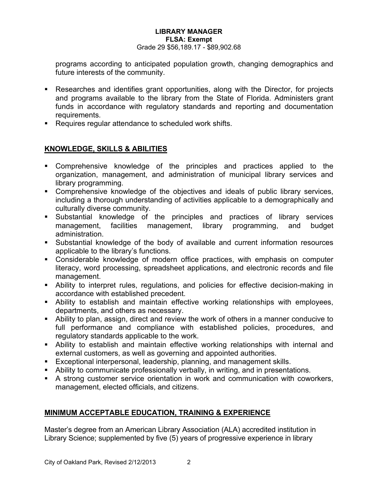### **LIBRARY MANAGER FLSA: Exempt** Grade 29 \$56,189.17 - \$89,902.68

programs according to anticipated population growth, changing demographics and future interests of the community.

- Researches and identifies grant opportunities, along with the Director, for projects and programs available to the library from the State of Florida. Administers grant funds in accordance with regulatory standards and reporting and documentation requirements.
- Requires regular attendance to scheduled work shifts.

# **KNOWLEDGE, SKILLS & ABILITIES**

- Comprehensive knowledge of the principles and practices applied to the organization, management, and administration of municipal library services and library programming.
- Comprehensive knowledge of the objectives and ideals of public library services, including a thorough understanding of activities applicable to a demographically and culturally diverse community.
- Substantial knowledge of the principles and practices of library services management, facilities management, library programming, and budget administration.
- Substantial knowledge of the body of available and current information resources applicable to the library's functions.
- Considerable knowledge of modern office practices, with emphasis on computer literacy, word processing, spreadsheet applications, and electronic records and file management.
- Ability to interpret rules, regulations, and policies for effective decision-making in accordance with established precedent.
- Ability to establish and maintain effective working relationships with employees, departments, and others as necessary.
- Ability to plan, assign, direct and review the work of others in a manner conducive to full performance and compliance with established policies, procedures, and regulatory standards applicable to the work.
- Ability to establish and maintain effective working relationships with internal and external customers, as well as governing and appointed authorities.
- Exceptional interpersonal, leadership, planning, and management skills.
- Ability to communicate professionally verbally, in writing, and in presentations.
- A strong customer service orientation in work and communication with coworkers, management, elected officials, and citizens.

## **MINIMUM ACCEPTABLE EDUCATION, TRAINING & EXPERIENCE**

Master's degree from an American Library Association (ALA) accredited institution in Library Science; supplemented by five (5) years of progressive experience in library